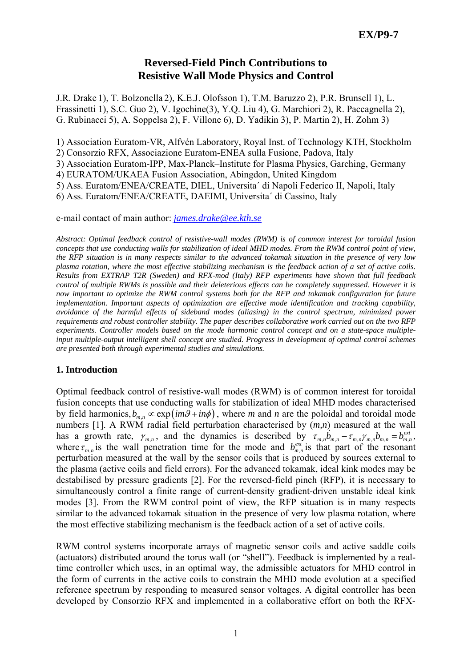# **Reversed-Field Pinch Contributions to Resistive Wall Mode Physics and Control**

J.R. Drake 1), T. Bolzonella 2), K.E.J. Olofsson 1), T.M. Baruzzo 2), P.R. Brunsell 1), L. Frassinetti 1), S.C. Guo 2), V. Igochine(3), Y.Q. Liu 4), G. Marchiori 2), R. Paccagnella 2), G. Rubinacci 5), A. Soppelsa 2), F. Villone 6), D. Yadikin 3), P. Martin 2), H. Zohm 3)

1) Association Euratom-VR, Alfvén Laboratory, Royal Inst. of Technology KTH, Stockholm

2) Consorzio RFX, Associazione Euratom-ENEA sulla Fusione, Padova, Italy

3) Association Euratom-IPP, Max-Planck–Institute for Plasma Physics, Garching, Germany

4) EURATOM/UKAEA Fusion Association, Abingdon, United Kingdom

5) Ass. Euratom/ENEA/CREATE, DIEL, Universita´ di Napoli Federico II, Napoli, Italy

6) Ass. Euratom/ENEA/CREATE, DAEIMI, Universita´ di Cassino, Italy

e-mail contact of main author: *[james.drake@ee.kth.se](mailto:james.drake@ee.kth.se)*

*Abstract: Optimal feedback control of resistive-wall modes (RWM) is of common interest for toroidal fusion concepts that use conducting walls for stabilization of ideal MHD modes. From the RWM control point of view, the RFP situation is in many respects similar to the advanced tokamak situation in the presence of very low plasma rotation, where the most effective stabilizing mechanism is the feedback action of a set of active coils. Results from EXTRAP T2R (Sweden) and RFX-mod (Italy) RFP experiments have shown that full feedback control of multiple RWMs is possible and their deleterious effects can be completely suppressed. However it is now important to optimize the RWM control systems both for the RFP and tokamak configuration for future implementation. Important aspects of optimization are effective mode identification and tracking capability, avoidance of the harmful effects of sideband modes (aliasing) in the control spectrum, minimized power requirements and robust controller stability. The paper describes collaborative work carried out on the two RFP experiments. Controller models based on the mode harmonic control concept and on a state-space multipleinput multiple-output intelligent shell concept are studied. Progress in development of optimal control schemes are presented both through experimental studies and simulations.* 

## **1. Introduction**

Optimal feedback control of resistive-wall modes (RWM) is of common interest for toroidal fusion concepts that use conducting walls for stabilization of ideal MHD modes characterised by field harmonics,  $b_{mn} \propto \exp(im\theta + in\phi)$ , where *m* and *n* are the poloidal and toroidal mode numbers [1]. A RWM radial field perturbation characterised by (*m,n*) measured at the wall has a growth rate,  $\gamma_{m,n}$ , and the dynamics is described by  $\chi_{m,n} \delta_{m,n} - \tau_{m,n} \gamma_{m,n} b_{m,n} = b_{m,n}^{ext}$ . where  $\tau_{m,n}$  is the wall penetration time for the mode and  $b_{m,n}^{ext}$  is that part of the resonant perturbation measured at the wall by the sensor coils that is produced by sources external to the plasma (active coils and field errors). For the advanced tokamak, ideal kink modes may be destabilised by pressure gradients [2]. For the reversed-field pinch (RFP), it is necessary to simultaneously control a finite range of current-density gradient-driven unstable ideal kink modes [3]. From the RWM control point of view, the RFP situation is in many respects similar to the advanced tokamak situation in the presence of very low plasma rotation, where the most effective stabilizing mechanism is the feedback action of a set of active coils.

RWM control systems incorporate arrays of magnetic sensor coils and active saddle coils (actuators) distributed around the torus wall (or "shell"). Feedback is implemented by a realtime controller which uses, in an optimal way, the admissible actuators for MHD control in the form of currents in the active coils to constrain the MHD mode evolution at a specified reference spectrum by responding to measured sensor voltages. A digital controller has been developed by Consorzio RFX and implemented in a collaborative effort on both the RFX-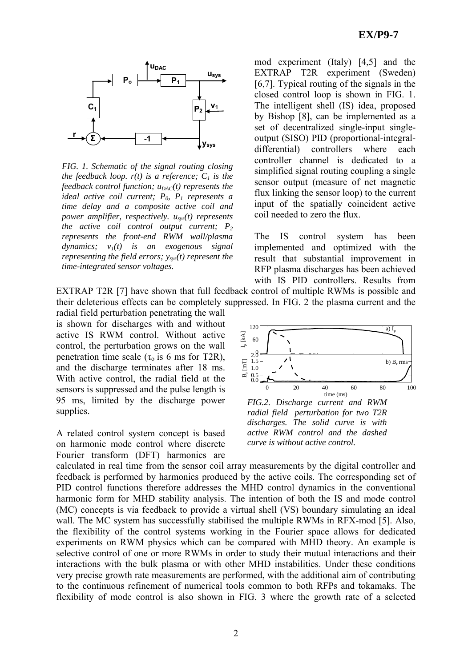

*FIG. 1. Schematic of the signal routing closing the feedback loop.*  $r(t)$  *is a reference;*  $C<sub>1</sub>$  *is the feedback control function;*  $u_{\text{DAC}}(t)$  represents the *ideal active coil current;*  $P_0$ ,  $P_1$  represents a *time delay and a composite active coil and power amplifier, respectively. usys(t) represents the active coil control output current;*  $P_2$ *represents the front-end RWM wall/plasma dynamics; v1(t) is an exogenous signal representing the field errors;*  $y_{sys}(t)$  *represent the time-integrated sensor voltages.*

mod experiment (Italy) [4,5] and the EXTRAP T2R experiment (Sweden) [6,7]. Typical routing of the signals in the closed control loop is shown in FIG. 1. The intelligent shell (IS) idea, proposed by Bishop [8], can be implemented as a set of decentralized single-input singleoutput (SISO) PID (proportional-integraldifferential) controllers where each controller channel is dedicated to a simplified signal routing coupling a single sensor output (measure of net magnetic flux linking the sensor loop) to the current input of the spatially coincident active coil needed to zero the flux.

The IS control system has been implemented and optimized with the result that substantial improvement in RFP plasma discharges has been achieved with IS PID controllers. Results from

EXTRAP T2R [7] have shown that full feedback control of multiple RWMs is possible and their deleterious effects can be completely suppressed. In FIG. 2 the plasma current and the

radial field perturbation penetrating the wall is shown for discharges with and without active IS RWM control. Without active control, the perturbation grows on the wall penetration time scale ( $\tau_0$  is 6 ms for T2R), and the discharge terminates after 18 ms. With active control, the radial field at the sensors is suppressed and the pulse length is 95 ms, limited by the discharge power supplies.

A related control system concept is based on harmonic mode control where discrete Fourier transform (DFT) harmonics are



*FIG.2. Discharge current and RWM radial field perturbation for two T2R discharges. The solid curve is with active RWM control and the dashed curve is without active control.*

calculated in real time from the sensor coil array measurements by the digital controller and feedback is performed by harmonics produced by the active coils. The corresponding set of PID control functions therefore addresses the MHD control dynamics in the conventional harmonic form for MHD stability analysis. The intention of both the IS and mode control (MC) concepts is via feedback to provide a virtual shell (VS) boundary simulating an ideal wall. The MC system has successfully stabilised the multiple RWMs in RFX-mod [5]. Also, the flexibility of the control systems working in the Fourier space allows for dedicated experiments on RWM physics which can be compared with MHD theory. An example is selective control of one or more RWMs in order to study their mutual interactions and their interactions with the bulk plasma or with other MHD instabilities. Under these conditions very precise growth rate measurements are performed, with the additional aim of contributing to the continuous refinement of numerical tools common to both RFPs and tokamaks. The flexibility of mode control is also shown in FIG. 3 where the growth rate of a selected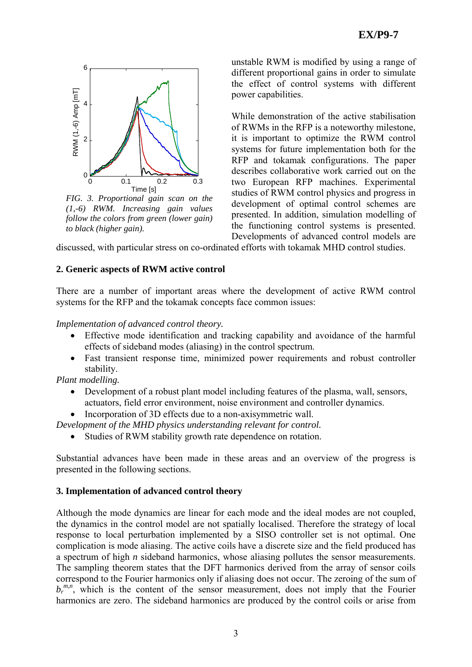

*FIG. 3. Proportional gain scan on the (1,-6) RWM. Increasing gain values follow the colors from green (lower gain) to black (higher gain).* 

unstable RWM is modified by using a range of different proportional gains in order to simulate the effect of control systems with different power capabilities.

While demonstration of the active stabilisation of RWMs in the RFP is a noteworthy milestone, it is important to optimize the RWM control systems for future implementation both for the RFP and tokamak configurations. The paper describes collaborative work carried out on the two European RFP machines. Experimental studies of RWM control physics and progress in development of optimal control schemes are presented. In addition, simulation modelling of the functioning control systems is presented. Developments of advanced control models are

discussed, with particular stress on co-ordinated efforts with tokamak MHD control studies.

## **2. Generic aspects of RWM active control**

There are a number of important areas where the development of active RWM control systems for the RFP and the tokamak concepts face common issues:

*Implementation of advanced control theory.* 

- Effective mode identification and tracking capability and avoidance of the harmful effects of sideband modes (aliasing) in the control spectrum.
- Fast transient response time, minimized power requirements and robust controller stability.

*Plant modelling.* 

- Development of a robust plant model including features of the plasma, wall, sensors, actuators, field error environment, noise environment and controller dynamics.
- Incorporation of 3D effects due to a non-axisymmetric wall.

*Development of the MHD physics understanding relevant for control.* 

• Studies of RWM stability growth rate dependence on rotation.

Substantial advances have been made in these areas and an overview of the progress is presented in the following sections.

## **3. Implementation of advanced control theory**

Although the mode dynamics are linear for each mode and the ideal modes are not coupled, the dynamics in the control model are not spatially localised. Therefore the strategy of local response to local perturbation implemented by a SISO controller set is not optimal. One complication is mode aliasing. The active coils have a discrete size and the field produced has a spectrum of high *n* sideband harmonics, whose aliasing pollutes the sensor measurements. The sampling theorem states that the DFT harmonics derived from the array of sensor coils correspond to the Fourier harmonics only if aliasing does not occur. The zeroing of the sum of b<sub>r</sub><sup>m,n</sup>, which is the content of the sensor measurement, does not imply that the Fourier harmonics are zero. The sideband harmonics are produced by the control coils or arise from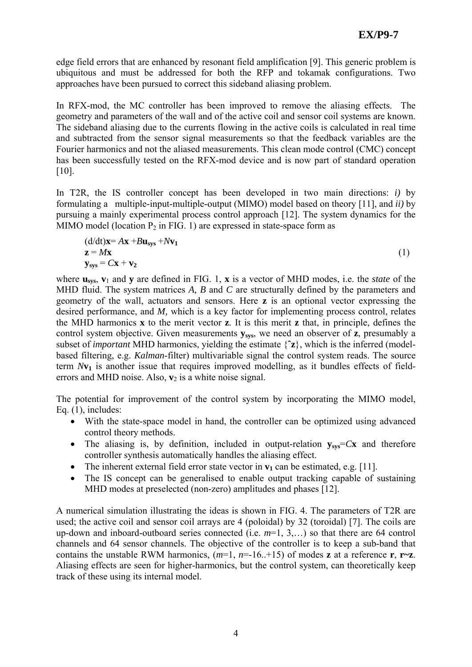edge field errors that are enhanced by resonant field amplification [9]. This generic problem is ubiquitous and must be addressed for both the RFP and tokamak configurations. Two approaches have been pursued to correct this sideband aliasing problem.

In RFX-mod, the MC controller has been improved to remove the aliasing effects. The geometry and parameters of the wall and of the active coil and sensor coil systems are known. The sideband aliasing due to the currents flowing in the active coils is calculated in real time and subtracted from the sensor signal measurements so that the feedback variables are the Fourier harmonics and not the aliased measurements. This clean mode control (CMC) concept has been successfully tested on the RFX-mod device and is now part of standard operation [10].

In T2R, the IS controller concept has been developed in two main directions: *i)* by formulating a multiple-input-multiple-output (MIMO) model based on theory [11], and *ii)* by pursuing a mainly experimental process control approach [12]. The system dynamics for the MIMO model (location  $P_2$  in FIG. 1) are expressed in state-space form as

$$
\begin{aligned} \n\text{(d/dt)}\mathbf{x} &= A\mathbf{x} + B\mathbf{u}_{\text{sys}} + N\mathbf{v}_1\\ \n\mathbf{z} &= M\mathbf{x} \\ \n\mathbf{y}_{\text{sys}} &= C\mathbf{x} + \mathbf{v}_2 \n\end{aligned} \tag{1}
$$

where **usys**, **v**1 and **y** are defined in FIG. 1, **x** is a vector of MHD modes, i.e. the *state* of the MHD fluid. The system matrices *A, B* and *C* are structurally defined by the parameters and geometry of the wall, actuators and sensors. Here **z** is an optional vector expressing the desired performance, and *M,* which is a key factor for implementing process control, relates the MHD harmonics **x** to the merit vector **z**. It is this merit **z** that, in principle, defines the control system objective. Given measurements **ysys**, we need an observer of **z**, presumably a subset of *important* MHD harmonics, yielding the estimate {**ˆz**}, which is the inferred (modelbased filtering, e.g. *Kalman*-filter) multivariable signal the control system reads. The source term  $Nv_1$  is another issue that requires improved modelling, as it bundles effects of fielderrors and MHD noise. Also,  $\mathbf{v}_2$  is a white noise signal.

The potential for improvement of the control system by incorporating the MIMO model, Eq. (1), includes:

- With the state-space model in hand, the controller can be optimized using advanced control theory methods.
- The aliasing is, by definition, included in output-relation  $y_{sys} = Cx$  and therefore controller synthesis automatically handles the aliasing effect.
- The inherent external field error state vector in  $\mathbf{v}_1$  can be estimated, e.g. [11].
- The IS concept can be generalised to enable output tracking capable of sustaining MHD modes at preselected (non-zero) amplitudes and phases [12].

A numerical simulation illustrating the ideas is shown in FIG. 4. The parameters of T2R are used; the active coil and sensor coil arrays are 4 (poloidal) by 32 (toroidal) [7]. The coils are up-down and inboard-outboard series connected (i.e. *m*=1, 3,…) so that there are 64 control channels and 64 sensor channels. The objective of the controller is to keep a sub-band that contains the unstable RWM harmonics,  $(m=1, n=-16.+15)$  of modes **z** at a reference **r**, **r**~**z**. Aliasing effects are seen for higher-harmonics, but the control system, can theoretically keep track of these using its internal model.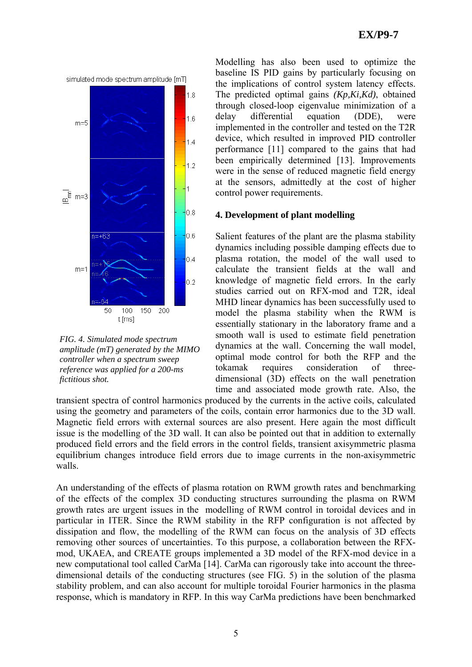

*FIG. 4. Simulated mode spectrum amplitude (mT) generated by the MIMO controller when a spectrum sweep reference was applied for a 200-ms fictitious shot.* 

Modelling has also been used to optimize the baseline IS PID gains by particularly focusing on the implications of control system latency effects. The predicted optimal gains *(Kp,Ki,Kd)*, obtained through closed-loop eigenvalue minimization of a delay differential equation (DDE), were implemented in the controller and tested on the T2R device, which resulted in improved PID controller performance [11] compared to the gains that had been empirically determined [13]. Improvements were in the sense of reduced magnetic field energy at the sensors, admittedly at the cost of higher control power requirements.

### **4. Development of plant modelling**

Salient features of the plant are the plasma stability dynamics including possible damping effects due to plasma rotation, the model of the wall used to calculate the transient fields at the wall and knowledge of magnetic field errors. In the early studies carried out on RFX-mod and T2R, ideal MHD linear dynamics has been successfully used to model the plasma stability when the RWM is essentially stationary in the laboratory frame and a smooth wall is used to estimate field penetration dynamics at the wall. Concerning the wall model, optimal mode control for both the RFP and the tokamak requires consideration of threedimensional (3D) effects on the wall penetration time and associated mode growth rate. Also, the

transient spectra of control harmonics produced by the currents in the active coils, calculated using the geometry and parameters of the coils, contain error harmonics due to the 3D wall. Magnetic field errors with external sources are also present. Here again the most difficult issue is the modelling of the 3D wall. It can also be pointed out that in addition to externally produced field errors and the field errors in the control fields, transient axisymmetric plasma equilibrium changes introduce field errors due to image currents in the non-axisymmetric walls.

An understanding of the effects of plasma rotation on RWM growth rates and benchmarking of the effects of the complex 3D conducting structures surrounding the plasma on RWM growth rates are urgent issues in the modelling of RWM control in toroidal devices and in particular in ITER. Since the RWM stability in the RFP configuration is not affected by dissipation and flow, the modelling of the RWM can focus on the analysis of 3D effects removing other sources of uncertainties. To this purpose, a collaboration between the RFXmod, UKAEA, and CREATE groups implemented a 3D model of the RFX-mod device in a new computational tool called CarMa [14]. CarMa can rigorously take into account the threedimensional details of the conducting structures (see FIG. 5) in the solution of the plasma stability problem, and can also account for multiple toroidal Fourier harmonics in the plasma response, which is mandatory in RFP. In this way CarMa predictions have been benchmarked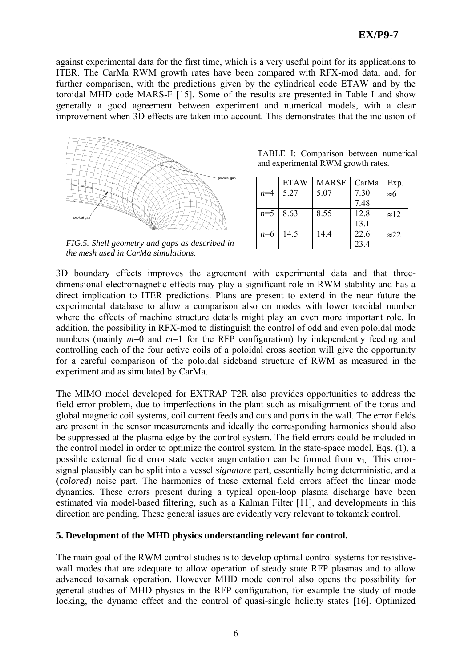against experimental data for the first time, which is a very useful point for its applications to ITER. The CarMa RWM growth rates have been compared with RFX-mod data, and, for further comparison, with the predictions given by the cylindrical code ETAW and by the toroidal MHD code MARS-F [15]. Some of the results are presented in Table I and show generally a good agreement between experiment and numerical models, with a clear improvement when 3D effects are taken into account. This demonstrates that the inclusion of



*FIG.5. Shell geometry and gaps as described in the mesh used in CarMa simulations.* 

|                                    |  | TABLE I: Comparison between numerical |  |  |  |  |  |
|------------------------------------|--|---------------------------------------|--|--|--|--|--|
| and experimental RWM growth rates. |  |                                       |  |  |  |  |  |

|       | <b>ETAW</b> | <b>MARSF</b> | CarMa | Exp.         |
|-------|-------------|--------------|-------|--------------|
| $n=4$ | 5.27        | 5.07         | 7.30  | $\approx 6$  |
|       |             |              | 7.48  |              |
| $n=5$ | 8.63        | 8.55         | 12.8  | $\approx$ 12 |
|       |             |              | 13.1  |              |
| $n=6$ | 14.5        | 14.4         | 22.6  | $\approx$ 22 |
|       |             |              | 23.4  |              |

3D boundary effects improves the agreement with experimental data and that threedimensional electromagnetic effects may play a significant role in RWM stability and has a direct implication to ITER predictions. Plans are present to extend in the near future the experimental database to allow a comparison also on modes with lower toroidal number where the effects of machine structure details might play an even more important role. In addition, the possibility in RFX-mod to distinguish the control of odd and even poloidal mode numbers (mainly  $m=0$  and  $m=1$  for the RFP configuration) by independently feeding and controlling each of the four active coils of a poloidal cross section will give the opportunity for a careful comparison of the poloidal sideband structure of RWM as measured in the experiment and as simulated by CarMa.

The MIMO model developed for EXTRAP T2R also provides opportunities to address the field error problem, due to imperfections in the plant such as misalignment of the torus and global magnetic coil systems, coil current feeds and cuts and ports in the wall. The error fields are present in the sensor measurements and ideally the corresponding harmonics should also be suppressed at the plasma edge by the control system. The field errors could be included in the control model in order to optimize the control system. In the state-space model, Eqs. (1), a possible external field error state vector augmentation can be formed from  $v_1$ . This errorsignal plausibly can be split into a vessel *signature* part, essentially being deterministic, and a (*colored*) noise part. The harmonics of these external field errors affect the linear mode dynamics. These errors present during a typical open-loop plasma discharge have been estimated via model-based filtering, such as a Kalman Filter [11], and developments in this direction are pending. These general issues are evidently very relevant to tokamak control.

#### **5. Development of the MHD physics understanding relevant for control.**

The main goal of the RWM control studies is to develop optimal control systems for resistivewall modes that are adequate to allow operation of steady state RFP plasmas and to allow advanced tokamak operation. However MHD mode control also opens the possibility for general studies of MHD physics in the RFP configuration, for example the study of mode locking, the dynamo effect and the control of quasi-single helicity states [16]. Optimized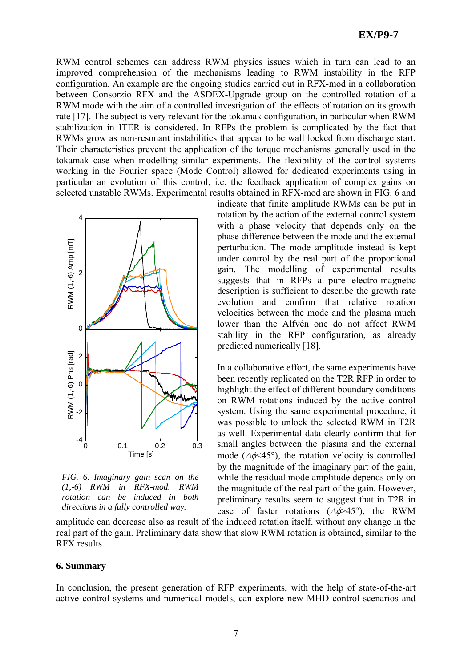RWM control schemes can address RWM physics issues which in turn can lead to an improved comprehension of the mechanisms leading to RWM instability in the RFP configuration. An example are the ongoing studies carried out in RFX-mod in a collaboration between Consorzio RFX and the ASDEX-Upgrade group on the controlled rotation of a RWM mode with the aim of a controlled investigation of the effects of rotation on its growth rate [17]. The subject is very relevant for the tokamak configuration, in particular when RWM stabilization in ITER is considered. In RFPs the problem is complicated by the fact that RWMs grow as non-resonant instabilities that appear to be wall locked from discharge start. Their characteristics prevent the application of the torque mechanisms generally used in the tokamak case when modelling similar experiments. The flexibility of the control systems working in the Fourier space (Mode Control) allowed for dedicated experiments using in particular an evolution of this control, i.e. the feedback application of complex gains on selected unstable RWMs. Experimental results obtained in RFX-mod are shown in FIG. 6 and



*FIG. 6. Imaginary gain scan on the (1,-6) RWM in RFX-mod. RWM rotation can be induced in both directions in a fully controlled way.* 

indicate that finite amplitude RWMs can be put in rotation by the action of the external control system with a phase velocity that depends only on the phase difference between the mode and the external perturbation. The mode amplitude instead is kept under control by the real part of the proportional gain. The modelling of experimental results suggests that in RFPs a pure electro-magnetic description is sufficient to describe the growth rate evolution and confirm that relative rotation velocities between the mode and the plasma much lower than the Alfvén one do not affect RWM stability in the RFP configuration, as already predicted numerically [18].

In a collaborative effort, the same experiments have been recently replicated on the T2R RFP in order to highlight the effect of different boundary conditions on RWM rotations induced by the active control system. Using the same experimental procedure, it was possible to unlock the selected RWM in T2R as well. Experimental data clearly confirm that for small angles between the plasma and the external mode ( $\Delta\phi \leq 45^{\circ}$ ), the rotation velocity is controlled by the magnitude of the imaginary part of the gain, while the residual mode amplitude depends only on the magnitude of the real part of the gain. However, preliminary results seem to suggest that in T2R in case of faster rotations  $(\Delta \phi > 45^{\circ})$ , the RWM

amplitude can decrease also as result of the induced rotation itself, without any change in the real part of the gain. Preliminary data show that slow RWM rotation is obtained, similar to the RFX results.

#### **6. Summary**

In conclusion, the present generation of RFP experiments, with the help of state-of-the-art active control systems and numerical models, can explore new MHD control scenarios and